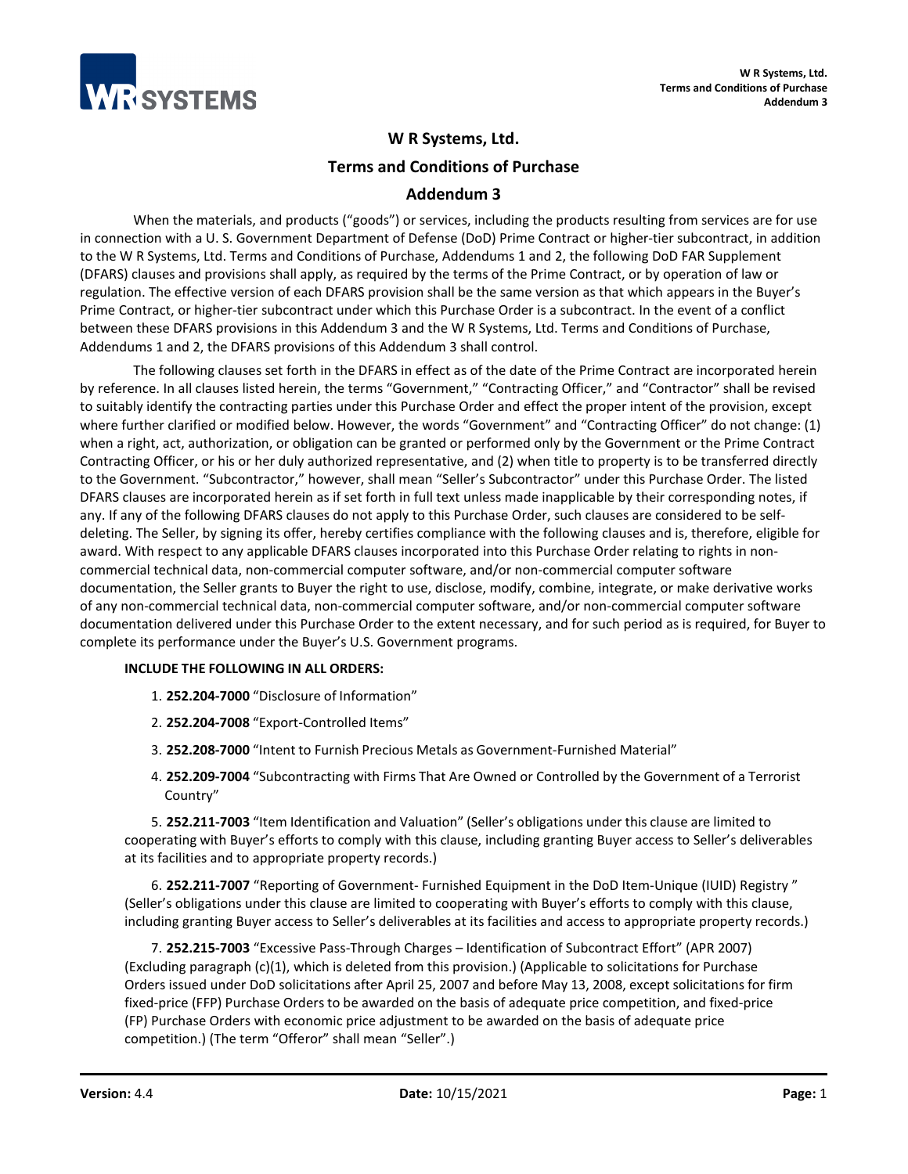

# **W R Systems, Ltd.**

**Terms and Conditions of Purchase**

# **Addendum 3**

When the materials, and products ("goods") or services, including the products resulting from services are for use in connection with a U. S. Government Department of Defense (DoD) Prime Contract or higher-tier subcontract, in addition to the W R Systems, Ltd. Terms and Conditions of Purchase, Addendums 1 and 2, the following DoD FAR Supplement (DFARS) clauses and provisions shall apply, as required by the terms of the Prime Contract, or by operation of law or regulation. The effective version of each DFARS provision shall be the same version as that which appears in the Buyer's Prime Contract, or higher-tier subcontract under which this Purchase Order is a subcontract. In the event of a conflict between these DFARS provisions in this Addendum 3 and the W R Systems, Ltd. Terms and Conditions of Purchase, Addendums 1 and 2, the DFARS provisions of this Addendum 3 shall control.

The following clauses set forth in the DFARS in effect as of the date of the Prime Contract are incorporated herein by reference. In all clauses listed herein, the terms "Government," "Contracting Officer," and "Contractor" shall be revised to suitably identify the contracting parties under this Purchase Order and effect the proper intent of the provision, except where further clarified or modified below. However, the words "Government" and "Contracting Officer" do not change: (1) when a right, act, authorization, or obligation can be granted or performed only by the Government or the Prime Contract Contracting Officer, or his or her duly authorized representative, and (2) when title to property is to be transferred directly to the Government. "Subcontractor," however, shall mean "Seller's Subcontractor" under this Purchase Order. The listed DFARS clauses are incorporated herein as if set forth in full text unless made inapplicable by their corresponding notes, if any. If any of the following DFARS clauses do not apply to this Purchase Order, such clauses are considered to be selfdeleting. The Seller, by signing its offer, hereby certifies compliance with the following clauses and is, therefore, eligible for award. With respect to any applicable DFARS clauses incorporated into this Purchase Order relating to rights in noncommercial technical data, non-commercial computer software, and/or non-commercial computer software documentation, the Seller grants to Buyer the right to use, disclose, modify, combine, integrate, or make derivative works of any non-commercial technical data, non-commercial computer software, and/or non-commercial computer software documentation delivered under this Purchase Order to the extent necessary, and for such period as is required, for Buyer to complete its performance under the Buyer's U.S. Government programs.

## **INCLUDE THE FOLLOWING IN ALL ORDERS:**

- 1. **252.204-7000** "Disclosure of Information"
- 2. **252.204-7008** "Export-Controlled Items"
- 3. **252.208-7000** "Intent to Furnish Precious Metals as Government-Furnished Material"
- 4. **252.209-7004** "Subcontracting with Firms That Are Owned or Controlled by the Government of a Terrorist Country"

5. **252.211-7003** "Item Identification and Valuation" (Seller's obligations under this clause are limited to cooperating with Buyer's efforts to comply with this clause, including granting Buyer access to Seller's deliverables at its facilities and to appropriate property records.)

6. **252.211-7007** "Reporting of Government- Furnished Equipment in the DoD Item-Unique (IUID) Registry " (Seller's obligations under this clause are limited to cooperating with Buyer's efforts to comply with this clause, including granting Buyer access to Seller's deliverables at its facilities and access to appropriate property records.)

7. **252.215-7003** "Excessive Pass-Through Charges – Identification of Subcontract Effort" (APR 2007) (Excluding paragraph (c)(1), which is deleted from this provision.) (Applicable to solicitations for Purchase Orders issued under DoD solicitations after April 25, 2007 and before May 13, 2008, except solicitations for firm fixed-price (FFP) Purchase Orders to be awarded on the basis of adequate price competition, and fixed-price (FP) Purchase Orders with economic price adjustment to be awarded on the basis of adequate price competition.) (The term "Offeror" shall mean "Seller".)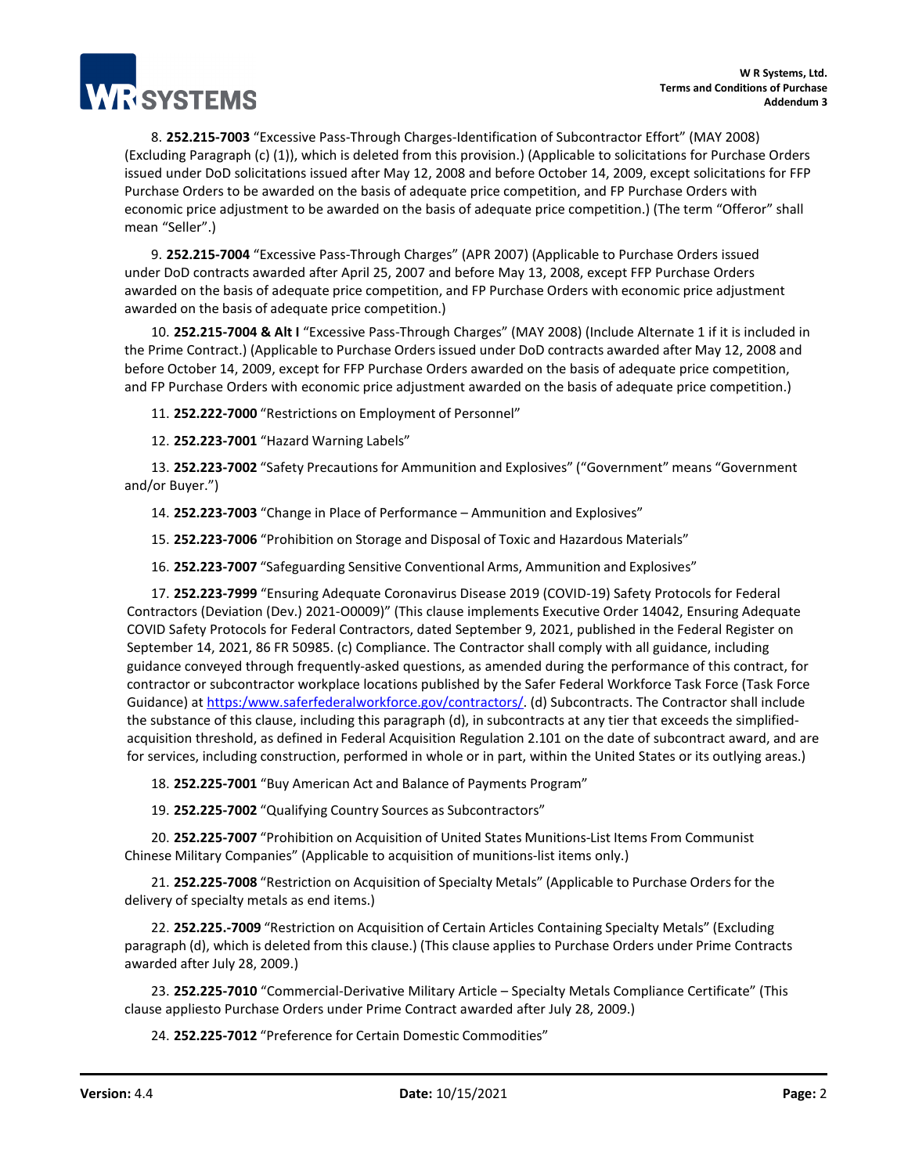

8. **252.215-7003** "Excessive Pass-Through Charges-Identification of Subcontractor Effort" (MAY 2008) (Excluding Paragraph (c) (1)), which is deleted from this provision.) (Applicable to solicitations for Purchase Orders issued under DoD solicitations issued after May 12, 2008 and before October 14, 2009, except solicitations for FFP Purchase Orders to be awarded on the basis of adequate price competition, and FP Purchase Orders with economic price adjustment to be awarded on the basis of adequate price competition.) (The term "Offeror" shall mean "Seller".)

9. **252.215-7004** "Excessive Pass-Through Charges" (APR 2007) (Applicable to Purchase Orders issued under DoD contracts awarded after April 25, 2007 and before May 13, 2008, except FFP Purchase Orders awarded on the basis of adequate price competition, and FP Purchase Orders with economic price adjustment awarded on the basis of adequate price competition.)

10. **252.215-7004 & Alt I** "Excessive Pass-Through Charges" (MAY 2008) (Include Alternate 1 if it is included in the Prime Contract.) (Applicable to Purchase Orders issued under DoD contracts awarded after May 12, 2008 and before October 14, 2009, except for FFP Purchase Orders awarded on the basis of adequate price competition, and FP Purchase Orders with economic price adjustment awarded on the basis of adequate price competition.)

11. **252.222-7000** "Restrictions on Employment of Personnel"

12. **252.223-7001** "Hazard Warning Labels"

13. **252.223-7002** "Safety Precautionsfor Ammunition and Explosives" ("Government" means "Government and/or Buyer.")

14. **252.223-7003** "Change in Place of Performance – Ammunition and Explosives"

15. **252.223-7006** "Prohibition on Storage and Disposal of Toxic and Hazardous Materials"

16. **252.223-7007** "Safeguarding Sensitive Conventional Arms, Ammunition and Explosives"

17. **252.223-7999** "Ensuring Adequate Coronavirus Disease 2019 (COVID-19) Safety Protocols for Federal Contractors (Deviation (Dev.) 2021-O0009)" (This clause implements Executive Order 14042, Ensuring Adequate COVID Safety Protocols for Federal Contractors, dated September 9, 2021, published in the Federal Register on September 14, 2021, 86 FR 50985. (c) Compliance. The Contractor shall comply with all guidance, including guidance conveyed through frequently-asked questions, as amended during the performance of this contract, for contractor or subcontractor workplace locations published by the Safer Federal Workforce Task Force (Task Force Guidance) a[t https:/www.saferfederalworkforce.gov/contractors/.](https://www.saferfederalworkforce.gov/contractors/) (d) Subcontracts. The Contractor shall include the substance of this clause, including this paragraph (d), in subcontracts at any tier that exceeds the simplifiedacquisition threshold, as defined in Federal Acquisition Regulation 2.101 on the date of subcontract award, and are for services, including construction, performed in whole or in part, within the United States or its outlying areas.)

18. **252.225-7001** "Buy American Act and Balance of Payments Program"

19. **252.225-7002** "Qualifying Country Sources as Subcontractors"

20. **252.225-7007** "Prohibition on Acquisition of United States Munitions-List Items From Communist Chinese Military Companies" (Applicable to acquisition of munitions-list items only.)

21. **252.225-7008** "Restriction on Acquisition of Specialty Metals" (Applicable to Purchase Orders for the delivery of specialty metals as end items.)

22. **252.225.-7009** "Restriction on Acquisition of Certain Articles Containing Specialty Metals" (Excluding paragraph (d), which is deleted from this clause.) (This clause applies to Purchase Orders under Prime Contracts awarded after July 28, 2009.)

23. **252.225-7010** "Commercial-Derivative Military Article – Specialty Metals Compliance Certificate" (This clause appliesto Purchase Orders under Prime Contract awarded after July 28, 2009.)

24. **252.225-7012** "Preference for Certain Domestic Commodities"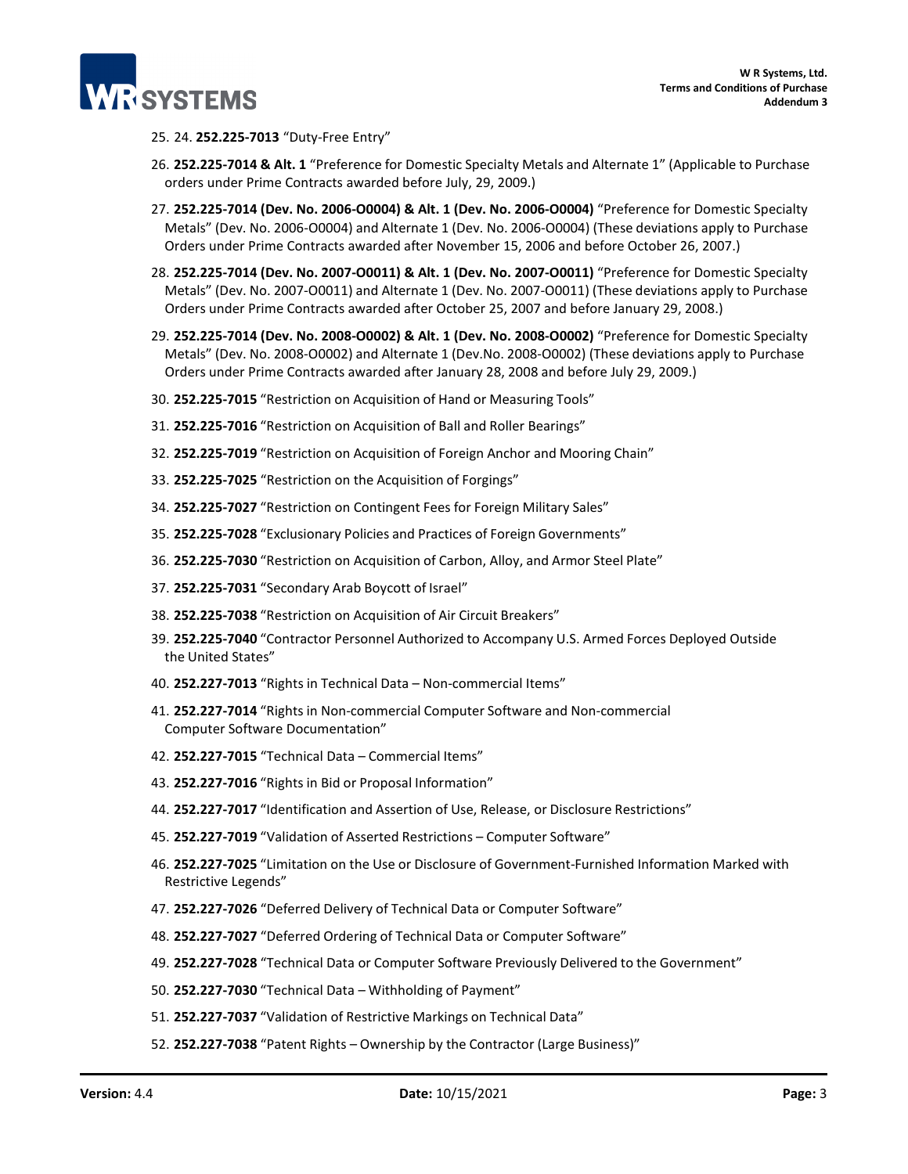

### 25. 24. **252.225-7013** "Duty-Free Entry"

- 26. **252.225-7014 & Alt. 1** "Preference for Domestic Specialty Metals and Alternate 1" (Applicable to Purchase orders under Prime Contracts awarded before July, 29, 2009.)
- 27. **252.225-7014 (Dev. No. 2006-O0004) & Alt. 1 (Dev. No. 2006-O0004)** "Preference for Domestic Specialty Metals" (Dev. No. 2006-O0004) and Alternate 1 (Dev. No. 2006-O0004) (These deviations apply to Purchase Orders under Prime Contracts awarded after November 15, 2006 and before October 26, 2007.)
- 28. **252.225-7014 (Dev. No. 2007-O0011) & Alt. 1 (Dev. No. 2007-O0011)** "Preference for Domestic Specialty Metals" (Dev. No. 2007-O0011) and Alternate 1 (Dev. No. 2007-O0011) (These deviations apply to Purchase Orders under Prime Contracts awarded after October 25, 2007 and before January 29, 2008.)
- 29. **252.225-7014 (Dev. No. 2008-O0002) & Alt. 1 (Dev. No. 2008-O0002)** "Preference for Domestic Specialty Metals" (Dev. No. 2008-O0002) and Alternate 1 (Dev.No. 2008-O0002) (These deviations apply to Purchase Orders under Prime Contracts awarded after January 28, 2008 and before July 29, 2009.)
- 30. **252.225-7015** "Restriction on Acquisition of Hand or Measuring Tools"
- 31. **252.225-7016** "Restriction on Acquisition of Ball and Roller Bearings"
- 32. **252.225-7019** "Restriction on Acquisition of Foreign Anchor and Mooring Chain"
- 33. **252.225-7025** "Restriction on the Acquisition of Forgings"
- 34. **252.225-7027** "Restriction on Contingent Fees for Foreign Military Sales"
- 35. **252.225-7028** "Exclusionary Policies and Practices of Foreign Governments"
- 36. **252.225-7030** "Restriction on Acquisition of Carbon, Alloy, and Armor Steel Plate"
- 37. **252.225-7031** "Secondary Arab Boycott of Israel"
- 38. **252.225-7038** "Restriction on Acquisition of Air Circuit Breakers"
- 39. **252.225-7040** "Contractor Personnel Authorized to Accompany U.S. Armed Forces Deployed Outside the United States"
- 40. **252.227-7013** "Rights in Technical Data Non-commercial Items"
- 41. **252.227-7014** "Rights in Non-commercial Computer Software and Non-commercial Computer Software Documentation"
- 42. **252.227-7015** "Technical Data Commercial Items"
- 43. **252.227-7016** "Rights in Bid or Proposal Information"
- 44. **252.227-7017** "Identification and Assertion of Use, Release, or Disclosure Restrictions"
- 45. **252.227-7019** "Validation of Asserted Restrictions Computer Software"
- 46. **252.227-7025** "Limitation on the Use or Disclosure of Government-Furnished Information Marked with Restrictive Legends"
- 47. **252.227-7026** "Deferred Delivery of Technical Data or Computer Software"
- 48. **252.227-7027** "Deferred Ordering of Technical Data or Computer Software"
- 49. **252.227-7028** "Technical Data or Computer Software Previously Delivered to the Government"
- 50. **252.227-7030** "Technical Data Withholding of Payment"
- 51. **252.227-7037** "Validation of Restrictive Markings on Technical Data"
- 52. **252.227-7038** "Patent Rights Ownership by the Contractor (Large Business)"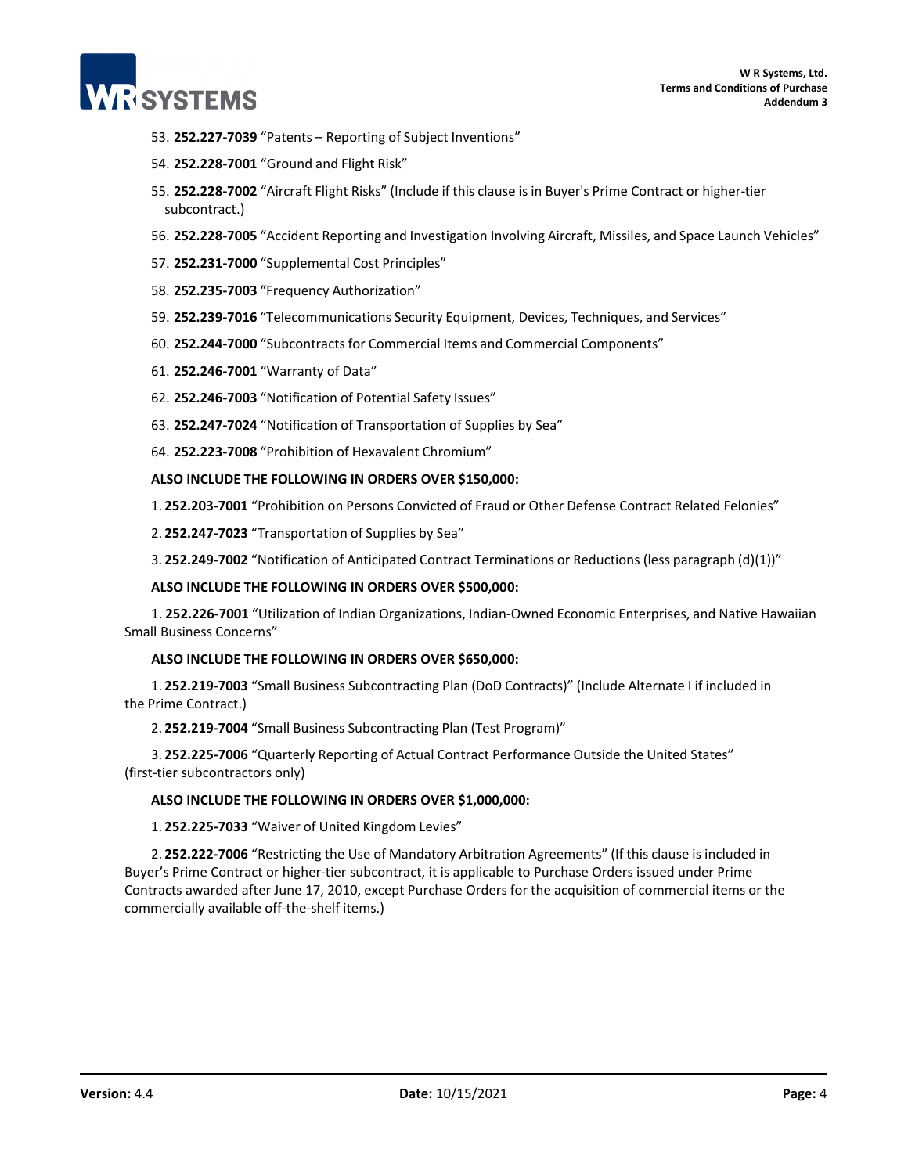

- 53. **252.227-7039** "Patents Reporting of Subject Inventions"
- 54. **252.228-7001** "Ground and Flight Risk"
- 55. **252.228-7002** "Aircraft Flight Risks" (Include if this clause is in Buyer's Prime Contract or higher-tier subcontract.)
- 56. **252.228-7005** "Accident Reporting and Investigation Involving Aircraft, Missiles, and Space Launch Vehicles"
- 57. **252.231-7000** "Supplemental Cost Principles"
- 58. **252.235-7003** "Frequency Authorization"
- 59. **252.239-7016** "Telecommunications Security Equipment, Devices, Techniques, and Services"
- 60. **252.244-7000** "Subcontractsfor Commercial Items and Commercial Components"
- 61. **252.246-7001** "Warranty of Data"
- 62. **252.246-7003** "Notification of Potential Safety Issues"
- 63. **252.247-7024** "Notification of Transportation of Supplies by Sea"
- 64. **252.223-7008** "Prohibition of Hexavalent Chromium"

### **ALSO INCLUDE THE FOLLOWING IN ORDERS OVER \$150,000:**

- 1. **252.203-7001** "Prohibition on Persons Convicted of Fraud or Other Defense Contract Related Felonies"
- 2. **252.247-7023** "Transportation of Supplies by Sea"
- 3. **252.249-7002** "Notification of Anticipated Contract Terminations or Reductions (less paragraph (d)(1))"

### **ALSO INCLUDE THE FOLLOWING IN ORDERS OVER \$500,000:**

1. **252.226-7001** "Utilization of Indian Organizations, Indian-Owned Economic Enterprises, and Native Hawaiian Small Business Concerns"

## **ALSO INCLUDE THE FOLLOWING IN ORDERS OVER \$650,000:**

1. **252.219-7003** "Small Business Subcontracting Plan (DoD Contracts)" (Include Alternate I if included in the Prime Contract.)

2. **252.219-7004** "Small Business Subcontracting Plan (Test Program)"

3. **252.225-7006** "Quarterly Reporting of Actual Contract Performance Outside the United States" (first-tier subcontractors only)

#### **ALSO INCLUDE THE FOLLOWING IN ORDERS OVER \$1,000,000:**

1. **252.225-7033** "Waiver of United Kingdom Levies"

2. **252.222-7006** "Restricting the Use of Mandatory Arbitration Agreements" (If this clause is included in Buyer's Prime Contract or higher-tier subcontract, it is applicable to Purchase Orders issued under Prime Contracts awarded after June 17, 2010, except Purchase Orders for the acquisition of commercial items or the commercially available off-the-shelf items.)